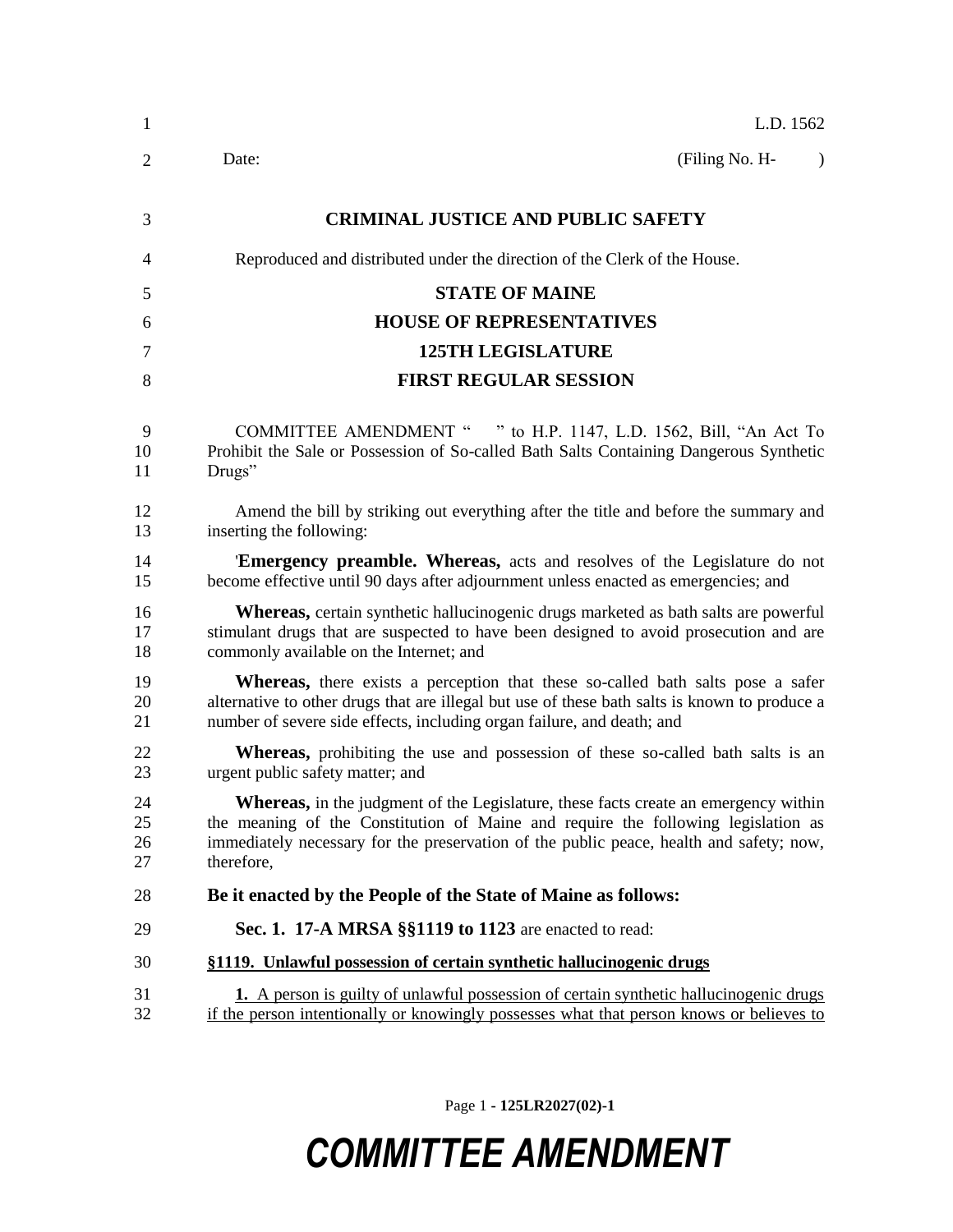| $\mathbf{1}$         | L.D. 1562                                                                                                                                                                                                                                                                         |
|----------------------|-----------------------------------------------------------------------------------------------------------------------------------------------------------------------------------------------------------------------------------------------------------------------------------|
| 2                    | (Filing No. H-<br>Date:<br>$\lambda$                                                                                                                                                                                                                                              |
| 3                    | <b>CRIMINAL JUSTICE AND PUBLIC SAFETY</b>                                                                                                                                                                                                                                         |
| 4                    | Reproduced and distributed under the direction of the Clerk of the House.                                                                                                                                                                                                         |
| 5                    | <b>STATE OF MAINE</b>                                                                                                                                                                                                                                                             |
| 6                    | <b>HOUSE OF REPRESENTATIVES</b>                                                                                                                                                                                                                                                   |
| 7                    | <b>125TH LEGISLATURE</b>                                                                                                                                                                                                                                                          |
| 8                    | <b>FIRST REGULAR SESSION</b>                                                                                                                                                                                                                                                      |
| 9<br>10<br>11        | COMMITTEE AMENDMENT " " to H.P. 1147, L.D. 1562, Bill, "An Act To<br>Prohibit the Sale or Possession of So-called Bath Salts Containing Dangerous Synthetic<br>Drugs"                                                                                                             |
| 12<br>13             | Amend the bill by striking out everything after the title and before the summary and<br>inserting the following:                                                                                                                                                                  |
| 14<br>15             | <b>Emergency preamble. Whereas,</b> acts and resolves of the Legislature do not<br>become effective until 90 days after adjournment unless enacted as emergencies; and                                                                                                            |
| 16<br>17<br>18       | <b>Whereas,</b> certain synthetic hallucinogenic drugs marketed as bath salts are powerful<br>stimulant drugs that are suspected to have been designed to avoid prosecution and are<br>commonly available on the Internet; and                                                    |
| 19<br>20<br>21       | <b>Whereas</b> , there exists a perception that these so-called bath salts pose a safer<br>alternative to other drugs that are illegal but use of these bath salts is known to produce a<br>number of severe side effects, including organ failure, and death; and                |
| 22<br>23             | <b>Whereas</b> , prohibiting the use and possession of these so-called bath salts is an<br>urgent public safety matter; and                                                                                                                                                       |
| 24<br>25<br>26<br>27 | Whereas, in the judgment of the Legislature, these facts create an emergency within<br>the meaning of the Constitution of Maine and require the following legislation as<br>immediately necessary for the preservation of the public peace, health and safety; now,<br>therefore, |
| 28                   | Be it enacted by the People of the State of Maine as follows:                                                                                                                                                                                                                     |
| 29                   | Sec. 1. 17-A MRSA §§1119 to 1123 are enacted to read:                                                                                                                                                                                                                             |
| 30                   | §1119. Unlawful possession of certain synthetic hallucinogenic drugs                                                                                                                                                                                                              |
| 31<br>32             | <b>1.</b> A person is guilty of unlawful possession of certain synthetic hallucinogenic drugs<br>if the person intentionally or knowingly possesses what that person knows or believes to                                                                                         |

Page 1 **- 125LR2027(02)-1**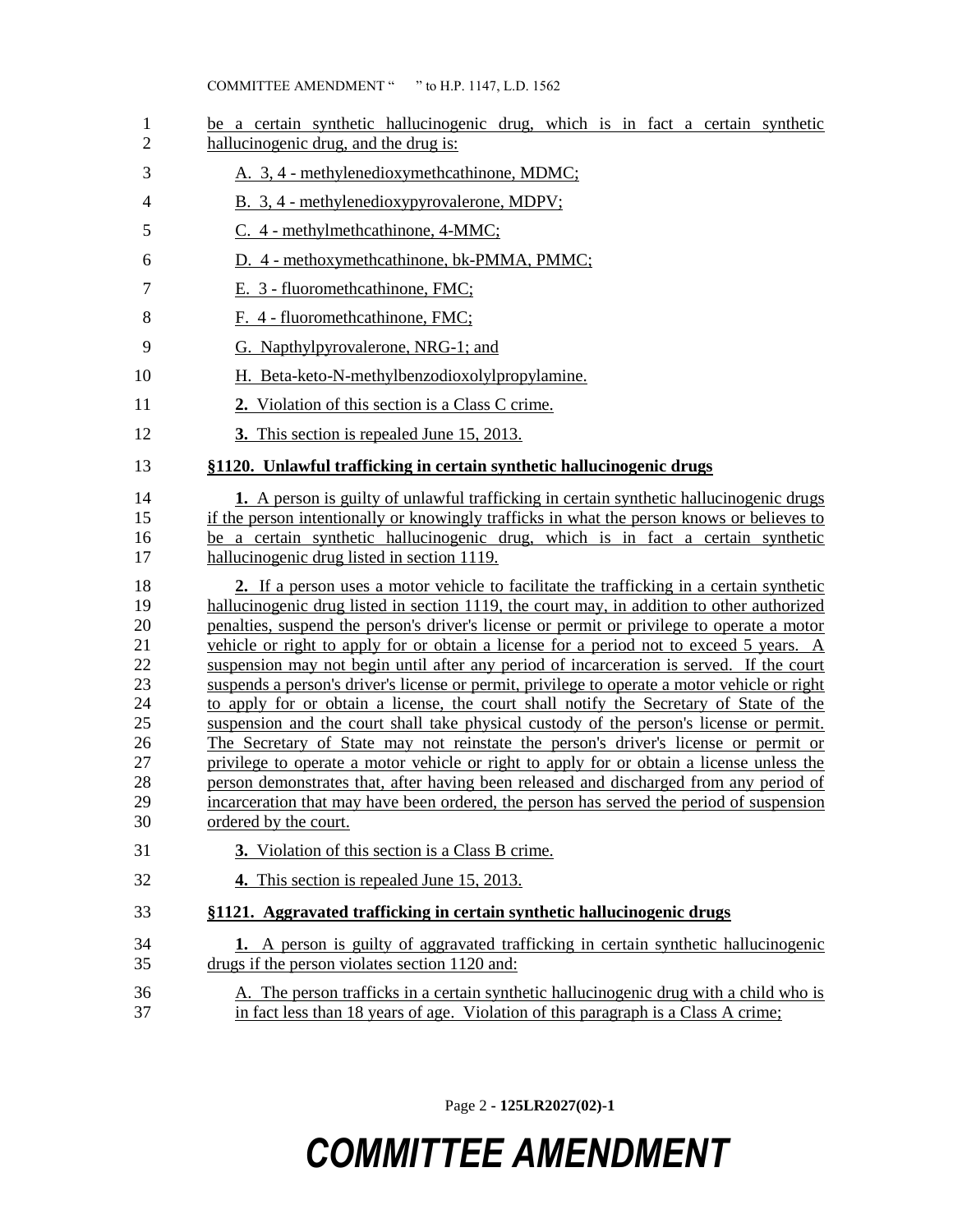| 1<br>$\overline{2}$                                                        | be a certain synthetic hallucinogenic drug, which is in fact a certain synthetic<br>hallucinogenic drug, and the drug is:                                                                                                                                                                                                                                                                                                                                                                                                                                                                                                                                                                                                                                                                                                                                                                                                                                                                                                                                                                                                                                            |
|----------------------------------------------------------------------------|----------------------------------------------------------------------------------------------------------------------------------------------------------------------------------------------------------------------------------------------------------------------------------------------------------------------------------------------------------------------------------------------------------------------------------------------------------------------------------------------------------------------------------------------------------------------------------------------------------------------------------------------------------------------------------------------------------------------------------------------------------------------------------------------------------------------------------------------------------------------------------------------------------------------------------------------------------------------------------------------------------------------------------------------------------------------------------------------------------------------------------------------------------------------|
| 3                                                                          | A. 3, 4 - methylenedioxymethcathinone, MDMC;                                                                                                                                                                                                                                                                                                                                                                                                                                                                                                                                                                                                                                                                                                                                                                                                                                                                                                                                                                                                                                                                                                                         |
| 4                                                                          | B. 3, 4 - methylenedioxypyrovalerone, MDPV;                                                                                                                                                                                                                                                                                                                                                                                                                                                                                                                                                                                                                                                                                                                                                                                                                                                                                                                                                                                                                                                                                                                          |
| 5                                                                          | C. 4 - methylmethcathinone, 4-MMC;                                                                                                                                                                                                                                                                                                                                                                                                                                                                                                                                                                                                                                                                                                                                                                                                                                                                                                                                                                                                                                                                                                                                   |
| 6                                                                          | D. 4 - methoxymethcathinone, bk-PMMA, PMMC;                                                                                                                                                                                                                                                                                                                                                                                                                                                                                                                                                                                                                                                                                                                                                                                                                                                                                                                                                                                                                                                                                                                          |
| $\tau$                                                                     | E. 3 - fluoromethcathinone, FMC;                                                                                                                                                                                                                                                                                                                                                                                                                                                                                                                                                                                                                                                                                                                                                                                                                                                                                                                                                                                                                                                                                                                                     |
| 8                                                                          | F. 4 - fluoromethcathinone, FMC;                                                                                                                                                                                                                                                                                                                                                                                                                                                                                                                                                                                                                                                                                                                                                                                                                                                                                                                                                                                                                                                                                                                                     |
| 9                                                                          | G. Napthylpyrovalerone, NRG-1; and                                                                                                                                                                                                                                                                                                                                                                                                                                                                                                                                                                                                                                                                                                                                                                                                                                                                                                                                                                                                                                                                                                                                   |
| 10                                                                         | H. Beta-keto-N-methylbenzodioxolylpropylamine.                                                                                                                                                                                                                                                                                                                                                                                                                                                                                                                                                                                                                                                                                                                                                                                                                                                                                                                                                                                                                                                                                                                       |
| 11                                                                         | 2. Violation of this section is a Class C crime.                                                                                                                                                                                                                                                                                                                                                                                                                                                                                                                                                                                                                                                                                                                                                                                                                                                                                                                                                                                                                                                                                                                     |
| 12                                                                         | 3. This section is repealed June 15, 2013.                                                                                                                                                                                                                                                                                                                                                                                                                                                                                                                                                                                                                                                                                                                                                                                                                                                                                                                                                                                                                                                                                                                           |
| 13                                                                         | §1120. Unlawful trafficking in certain synthetic hallucinogenic drugs                                                                                                                                                                                                                                                                                                                                                                                                                                                                                                                                                                                                                                                                                                                                                                                                                                                                                                                                                                                                                                                                                                |
| 14<br>15<br>16<br>17                                                       | <b>1.</b> A person is guilty of unlawful trafficking in certain synthetic hallucinogenic drugs<br>if the person intentionally or knowingly trafficks in what the person knows or believes to<br>be a certain synthetic hallucinogenic drug, which is in fact a certain synthetic<br>hallucinogenic drug listed in section 1119.                                                                                                                                                                                                                                                                                                                                                                                                                                                                                                                                                                                                                                                                                                                                                                                                                                      |
| 18<br>19<br>20<br>21<br>22<br>23<br>24<br>25<br>26<br>27<br>28<br>29<br>30 | 2. If a person uses a motor vehicle to facilitate the trafficking in a certain synthetic<br>hallucinogenic drug listed in section 1119, the court may, in addition to other authorized<br>penalties, suspend the person's driver's license or permit or privilege to operate a motor<br>vehicle or right to apply for or obtain a license for a period not to exceed 5 years. A<br>suspension may not begin until after any period of incarceration is served. If the court<br>suspends a person's driver's license or permit, privilege to operate a motor vehicle or right<br>to apply for or obtain a license, the court shall notify the Secretary of State of the<br>suspension and the court shall take physical custody of the person's license or permit.<br>The Secretary of State may not reinstate the person's driver's license or permit or<br>privilege to operate a motor vehicle or right to apply for or obtain a license unless the<br>person demonstrates that, after having been released and discharged from any period of<br>incarceration that may have been ordered, the person has served the period of suspension<br>ordered by the court. |
| 31                                                                         | 3. Violation of this section is a Class B crime.                                                                                                                                                                                                                                                                                                                                                                                                                                                                                                                                                                                                                                                                                                                                                                                                                                                                                                                                                                                                                                                                                                                     |
| 32                                                                         | 4. This section is repealed June 15, 2013.                                                                                                                                                                                                                                                                                                                                                                                                                                                                                                                                                                                                                                                                                                                                                                                                                                                                                                                                                                                                                                                                                                                           |
| 33                                                                         | §1121. Aggravated trafficking in certain synthetic hallucinogenic drugs                                                                                                                                                                                                                                                                                                                                                                                                                                                                                                                                                                                                                                                                                                                                                                                                                                                                                                                                                                                                                                                                                              |
| 34<br>35                                                                   | 1. A person is guilty of aggravated trafficking in certain synthetic hallucinogenic<br>drugs if the person violates section 1120 and:                                                                                                                                                                                                                                                                                                                                                                                                                                                                                                                                                                                                                                                                                                                                                                                                                                                                                                                                                                                                                                |
| 36<br>37                                                                   | A. The person trafficks in a certain synthetic hallucinogenic drug with a child who is<br>in fact less than 18 years of age. Violation of this paragraph is a Class A crime;                                                                                                                                                                                                                                                                                                                                                                                                                                                                                                                                                                                                                                                                                                                                                                                                                                                                                                                                                                                         |

Page 2 **- 125LR2027(02)-1**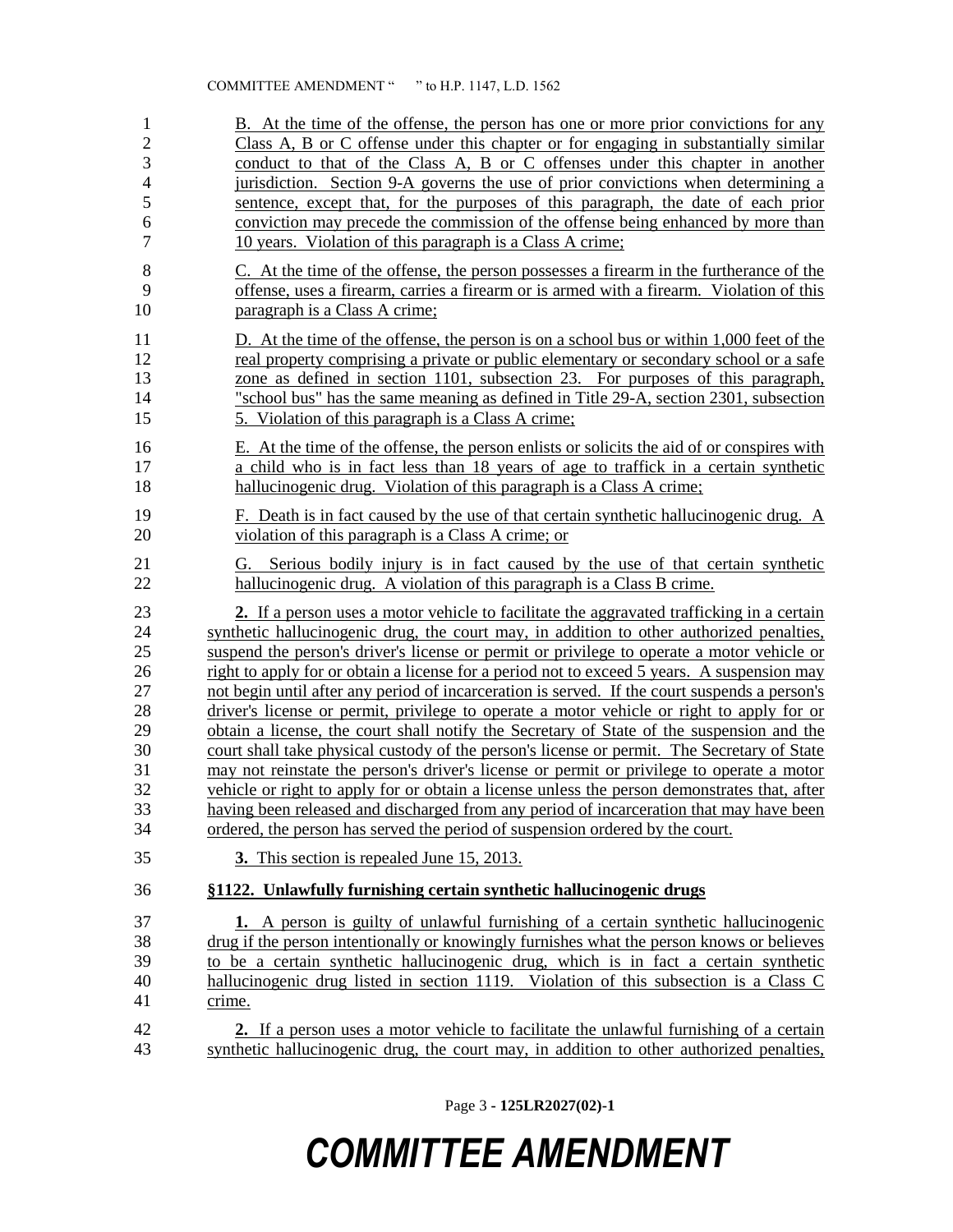| $\mathbf{1}$   | B. At the time of the offense, the person has one or more prior convictions for any                                                                          |
|----------------|--------------------------------------------------------------------------------------------------------------------------------------------------------------|
| $\overline{c}$ | Class A, B or C offense under this chapter or for engaging in substantially similar                                                                          |
| 3              | conduct to that of the Class A, B or C offenses under this chapter in another                                                                                |
| $\overline{4}$ | jurisdiction. Section 9-A governs the use of prior convictions when determining a                                                                            |
| 5              | sentence, except that, for the purposes of this paragraph, the date of each prior                                                                            |
| 6              | conviction may precede the commission of the offense being enhanced by more than                                                                             |
| $\overline{7}$ | 10 years. Violation of this paragraph is a Class A crime;                                                                                                    |
| $\,8\,$        | C. At the time of the offense, the person possesses a firearm in the furtherance of the                                                                      |
| 9              | offense, uses a firearm, carries a firearm or is armed with a firearm. Violation of this                                                                     |
| 10             | paragraph is a Class A crime;                                                                                                                                |
| 11             | D. At the time of the offense, the person is on a school bus or within 1,000 feet of the                                                                     |
| 12             | real property comprising a private or public elementary or secondary school or a safe                                                                        |
| 13             | zone as defined in section 1101, subsection 23. For purposes of this paragraph,                                                                              |
| 14             | "school bus" has the same meaning as defined in Title 29-A, section 2301, subsection                                                                         |
| 15             | 5. Violation of this paragraph is a Class A crime;                                                                                                           |
| 16             | E. At the time of the offense, the person enlists or solicits the aid of or conspires with                                                                   |
| 17             | a child who is in fact less than 18 years of age to traffick in a certain synthetic                                                                          |
| 18             | hallucinogenic drug. Violation of this paragraph is a Class A crime;                                                                                         |
| 19             | F. Death is in fact caused by the use of that certain synthetic hallucinogenic drug. $\overline{A}$                                                          |
| 20             | violation of this paragraph is a Class A crime; or                                                                                                           |
| 21<br>22       | Serious bodily injury is in fact caused by the use of that certain synthetic<br>G.<br>hallucinogenic drug. A violation of this paragraph is a Class B crime. |
| 23             | 2. If a person uses a motor vehicle to facilitate the aggravated trafficking in a certain                                                                    |
| 24             | synthetic hallucinogenic drug, the court may, in addition to other authorized penalties,                                                                     |
| 25             | suspend the person's driver's license or permit or privilege to operate a motor vehicle or                                                                   |
| 26             | right to apply for or obtain a license for a period not to exceed 5 years. A suspension may                                                                  |
| 27             | not begin until after any period of incarceration is served. If the court suspends a person's                                                                |
| 28             | driver's license or permit, privilege to operate a motor vehicle or right to apply for or                                                                    |
| 29             | obtain a license, the court shall notify the Secretary of State of the suspension and the                                                                    |
| 30             | court shall take physical custody of the person's license or permit. The Secretary of State                                                                  |
| 31             | may not reinstate the person's driver's license or permit or privilege to operate a motor                                                                    |
| 32             | vehicle or right to apply for or obtain a license unless the person demonstrates that, after                                                                 |
| 33             | having been released and discharged from any period of incarceration that may have been                                                                      |
| 34             | ordered, the person has served the period of suspension ordered by the court.                                                                                |
| 35             | 3. This section is repealed June 15, 2013.                                                                                                                   |
| 36             | §1122. Unlawfully furnishing certain synthetic hallucinogenic drugs                                                                                          |
| 37             | <b>1.</b> A person is guilty of unlawful furnishing of a certain synthetic hallucinogenic                                                                    |
| 38             | drug if the person intentionally or knowingly furnishes what the person knows or believes                                                                    |
| 39             | to be a certain synthetic hallucinogenic drug, which is in fact a certain synthetic                                                                          |
| 40             | hallucinogenic drug listed in section 1119. Violation of this subsection is a Class C                                                                        |
| 41             | crime.                                                                                                                                                       |
| 42             | 2. If a person uses a motor vehicle to facilitate the unlawful furnishing of a certain                                                                       |
| 43             | synthetic hallucinogenic drug, the court may, in addition to other authorized penalties,                                                                     |

Page 3 **- 125LR2027(02)-1**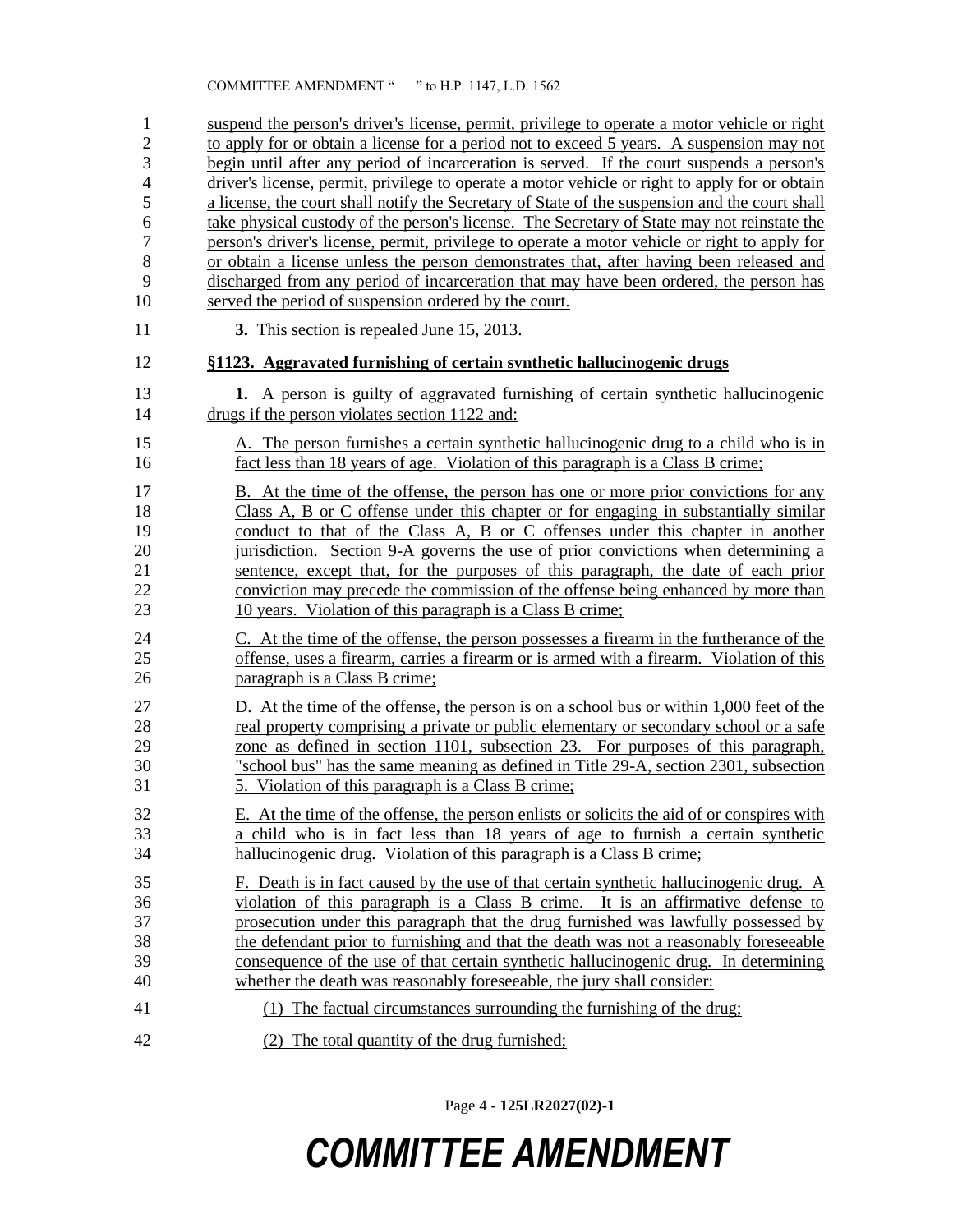suspend the person's driver's license, permit, privilege to operate a motor vehicle or right 2 to apply for or obtain a license for a period not to exceed 5 years. A suspension may not begin until after any period of incarceration is served. If the court suspends a person's driver's license, permit, privilege to operate a motor vehicle or right to apply for or obtain a license, the court shall notify the Secretary of State of the suspension and the court shall take physical custody of the person's license. The Secretary of State may not reinstate the person's driver's license, permit, privilege to operate a motor vehicle or right to apply for or obtain a license unless the person demonstrates that, after having been released and discharged from any period of incarceration that may have been ordered, the person has served the period of suspension ordered by the court. **3.** This section is repealed June 15, 2013. **§1123. Aggravated furnishing of certain synthetic hallucinogenic drugs 1.** A person is guilty of aggravated furnishing of certain synthetic hallucinogenic drugs if the person violates section 1122 and: A. The person furnishes a certain synthetic hallucinogenic drug to a child who is in fact less than 18 years of age. Violation of this paragraph is a Class B crime; 17 B. At the time of the offense, the person has one or more prior convictions for any Class A, B or C offense under this chapter or for engaging in substantially similar conduct to that of the Class A, B or C offenses under this chapter in another jurisdiction. Section 9-A governs the use of prior convictions when determining a sentence, except that, for the purposes of this paragraph, the date of each prior conviction may precede the commission of the offense being enhanced by more than 10 years. Violation of this paragraph is a Class B crime; C. At the time of the offense, the person possesses a firearm in the furtherance of the offense, uses a firearm, carries a firearm or is armed with a firearm. Violation of this paragraph is a Class B crime; D. At the time of the offense, the person is on a school bus or within 1,000 feet of the 28 real property comprising a private or public elementary or secondary school or a safe zone as defined in section 1101, subsection 23. For purposes of this paragraph, "school bus" has the same meaning as defined in Title 29-A, section 2301, subsection 5. Violation of this paragraph is a Class B crime; E. At the time of the offense, the person enlists or solicits the aid of or conspires with a child who is in fact less than 18 years of age to furnish a certain synthetic hallucinogenic drug. Violation of this paragraph is a Class B crime; F. Death is in fact caused by the use of that certain synthetic hallucinogenic drug. A violation of this paragraph is a Class B crime. It is an affirmative defense to prosecution under this paragraph that the drug furnished was lawfully possessed by the defendant prior to furnishing and that the death was not a reasonably foreseeable consequence of the use of that certain synthetic hallucinogenic drug. In determining whether the death was reasonably foreseeable, the jury shall consider: (1) The factual circumstances surrounding the furnishing of the drug; (2) The total quantity of the drug furnished;

Page 4 **- 125LR2027(02)-1**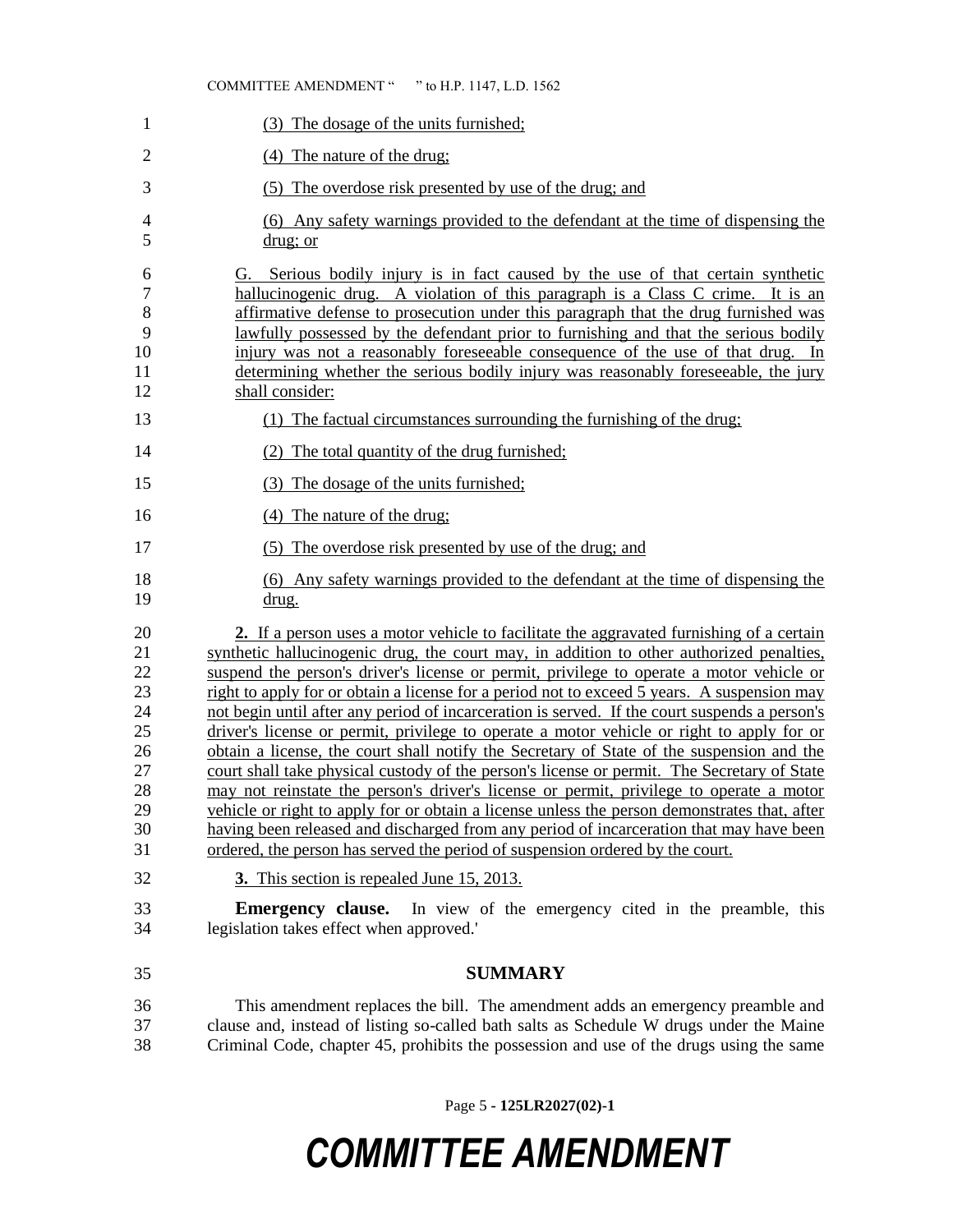#### COMMITTEE AMENDMENT " " to H.P. 1147, L.D. 1562

| $\mathbf{1}$                                                               | (3) The dosage of the units furnished;                                                                                                                                                                                                                                                                                                                                                                                                                                                                                                                                                                                                                                                                                                                                                                                                                                                                                                                                                                                                                                                                                                                                                         |
|----------------------------------------------------------------------------|------------------------------------------------------------------------------------------------------------------------------------------------------------------------------------------------------------------------------------------------------------------------------------------------------------------------------------------------------------------------------------------------------------------------------------------------------------------------------------------------------------------------------------------------------------------------------------------------------------------------------------------------------------------------------------------------------------------------------------------------------------------------------------------------------------------------------------------------------------------------------------------------------------------------------------------------------------------------------------------------------------------------------------------------------------------------------------------------------------------------------------------------------------------------------------------------|
| $\overline{2}$                                                             | (4) The nature of the drug;                                                                                                                                                                                                                                                                                                                                                                                                                                                                                                                                                                                                                                                                                                                                                                                                                                                                                                                                                                                                                                                                                                                                                                    |
| 3                                                                          | (5) The overdose risk presented by use of the drug; and                                                                                                                                                                                                                                                                                                                                                                                                                                                                                                                                                                                                                                                                                                                                                                                                                                                                                                                                                                                                                                                                                                                                        |
| 4<br>5                                                                     | (6) Any safety warnings provided to the defendant at the time of dispensing the<br>$drug$ ; or                                                                                                                                                                                                                                                                                                                                                                                                                                                                                                                                                                                                                                                                                                                                                                                                                                                                                                                                                                                                                                                                                                 |
| 6<br>7<br>$\,8\,$<br>9<br>10<br>11<br>12                                   | Serious bodily injury is in fact caused by the use of that certain synthetic<br>G.<br>hallucinogenic drug. A violation of this paragraph is a Class C crime. It is an<br>affirmative defense to prosecution under this paragraph that the drug furnished was<br>lawfully possessed by the defendant prior to furnishing and that the serious bodily<br>injury was not a reasonably foreseeable consequence of the use of that drug. In<br>determining whether the serious bodily injury was reasonably foreseeable, the jury<br>shall consider:                                                                                                                                                                                                                                                                                                                                                                                                                                                                                                                                                                                                                                                |
| 13                                                                         | (1) The factual circumstances surrounding the furnishing of the drug;                                                                                                                                                                                                                                                                                                                                                                                                                                                                                                                                                                                                                                                                                                                                                                                                                                                                                                                                                                                                                                                                                                                          |
| 14                                                                         | (2) The total quantity of the drug furnished;                                                                                                                                                                                                                                                                                                                                                                                                                                                                                                                                                                                                                                                                                                                                                                                                                                                                                                                                                                                                                                                                                                                                                  |
| 15                                                                         | (3) The dosage of the units furnished;                                                                                                                                                                                                                                                                                                                                                                                                                                                                                                                                                                                                                                                                                                                                                                                                                                                                                                                                                                                                                                                                                                                                                         |
| 16                                                                         | The nature of the drug;<br>(4)                                                                                                                                                                                                                                                                                                                                                                                                                                                                                                                                                                                                                                                                                                                                                                                                                                                                                                                                                                                                                                                                                                                                                                 |
| 17                                                                         | (5) The overdose risk presented by use of the drug; and                                                                                                                                                                                                                                                                                                                                                                                                                                                                                                                                                                                                                                                                                                                                                                                                                                                                                                                                                                                                                                                                                                                                        |
| 18<br>19                                                                   | (6) Any safety warnings provided to the defendant at the time of dispensing the<br>drug.                                                                                                                                                                                                                                                                                                                                                                                                                                                                                                                                                                                                                                                                                                                                                                                                                                                                                                                                                                                                                                                                                                       |
| 20<br>21<br>22<br>23<br>24<br>25<br>26<br>27<br>28<br>29<br>30<br>31<br>32 | 2. If a person uses a motor vehicle to facilitate the aggravated furnishing of a certain<br>synthetic hallucinogenic drug, the court may, in addition to other authorized penalties,<br>suspend the person's driver's license or permit, privilege to operate a motor vehicle or<br>right to apply for or obtain a license for a period not to exceed 5 years. A suspension may<br>not begin until after any period of incarceration is served. If the court suspends a person's<br>driver's license or permit, privilege to operate a motor vehicle or right to apply for or<br>obtain a license, the court shall notify the Secretary of State of the suspension and the<br>court shall take physical custody of the person's license or permit. The Secretary of State<br>may not reinstate the person's driver's license or permit, privilege to operate a motor<br>vehicle or right to apply for or obtain a license unless the person demonstrates that, after<br>having been released and discharged from any period of incarceration that may have been<br>ordered, the person has served the period of suspension ordered by the court.<br>3. This section is repealed June 15, 2013. |
| 33                                                                         | Emergency clause.<br>In view of the emergency cited in the preamble, this                                                                                                                                                                                                                                                                                                                                                                                                                                                                                                                                                                                                                                                                                                                                                                                                                                                                                                                                                                                                                                                                                                                      |
| 34                                                                         | legislation takes effect when approved.'                                                                                                                                                                                                                                                                                                                                                                                                                                                                                                                                                                                                                                                                                                                                                                                                                                                                                                                                                                                                                                                                                                                                                       |
| 35                                                                         | <b>SUMMARY</b>                                                                                                                                                                                                                                                                                                                                                                                                                                                                                                                                                                                                                                                                                                                                                                                                                                                                                                                                                                                                                                                                                                                                                                                 |
| 36<br>37<br>38                                                             | This amendment replaces the bill. The amendment adds an emergency preamble and<br>clause and, instead of listing so-called bath salts as Schedule W drugs under the Maine<br>Criminal Code, chapter 45, prohibits the possession and use of the drugs using the same                                                                                                                                                                                                                                                                                                                                                                                                                                                                                                                                                                                                                                                                                                                                                                                                                                                                                                                           |

Page 5 **- 125LR2027(02)-1**